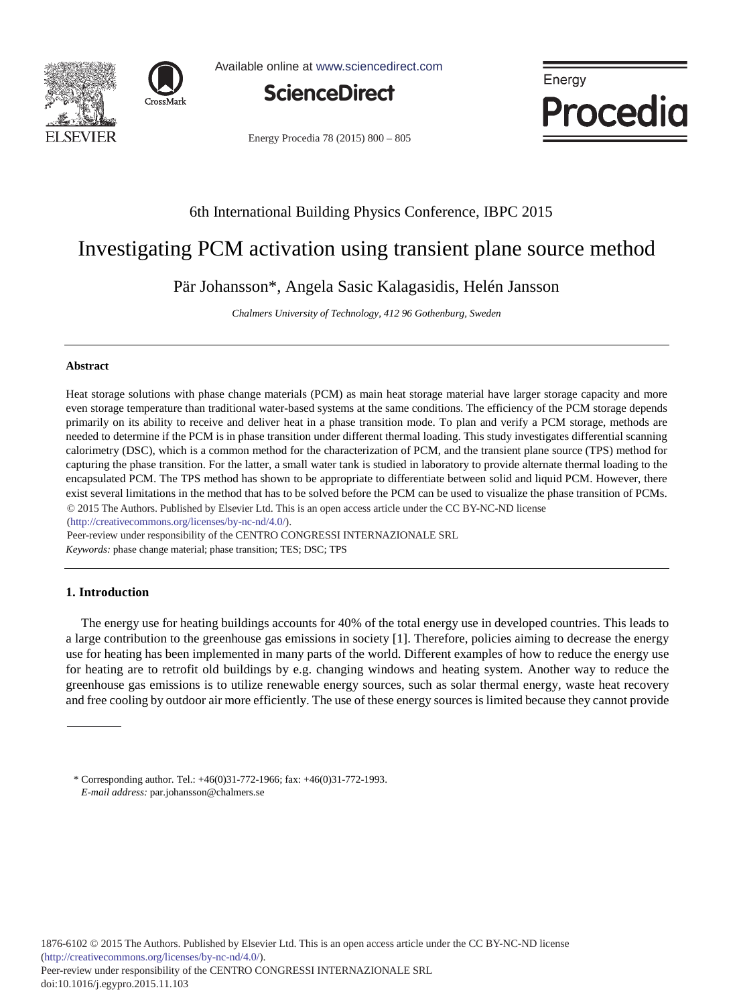



Available online at www.sciencedirect.com



Energy Procedia 78 (2015) 800 - 805



# 6th International Building Physics Conference, IBPC 2015

# Investigating PCM activation using transient plane source method

Pär Johansson\*, Angela Sasic Kalagasidis, Helén Jansson

*Chalmers University of Technology, 412 96 Gothenburg, Sweden* 

# **Abstract**

Heat storage solutions with phase change materials (PCM) as main heat storage material have larger storage capacity and more even storage temperature than traditional water-based systems at the same conditions. The efficiency of the PCM storage depends primarily on its ability to receive and deliver heat in a phase transition mode. To plan and verify a PCM storage, methods are needed to determine if the PCM is in phase transition under different thermal loading. This study investigates differential scanning calorimetry (DSC), which is a common method for the characterization of PCM, and the transient plane source (TPS) method for capturing the phase transition. For the latter, a small water tank is studied in laboratory to provide alternate thermal loading to the encapsulated PCM. The TPS method has shown to be appropriate to differentiate between solid and liquid PCM. However, there exist several limitations in the method that has to be solved before the PCM can be used to visualize the phase transition of PCMs. © 2015 The Authors. Published by Elsevier Ltd. © 2015 The Authors. Published by Elsevier Ltd. This is an open access article under the CC BY-NC-ND license

(http://creativecommons.org/licenses/by-nc-nd/4.0/).

*Keywords:* phase change material; phase transition; TES; DSC; TPS Peer-review under responsibility of the CENTRO CONGRESSI INTERNAZIONALE SRL

# **1. Introduction**

The energy use for heating buildings accounts for 40% of the total energy use in developed countries. This leads to a large contribution to the greenhouse gas emissions in society [1]. Therefore, policies aiming to decrease the energy use for heating has been implemented in many parts of the world. Different examples of how to reduce the energy use for heating are to retrofit old buildings by e.g. changing windows and heating system. Another way to reduce the greenhouse gas emissions is to utilize renewable energy sources, such as solar thermal energy, waste heat recovery and free cooling by outdoor air more efficiently. The use of these energy sources is limited because they cannot provide

\* Corresponding author. Tel.: +46(0)31-772-1966; fax: +46(0)31-772-1993. *E-mail address:* par.johansson@chalmers.se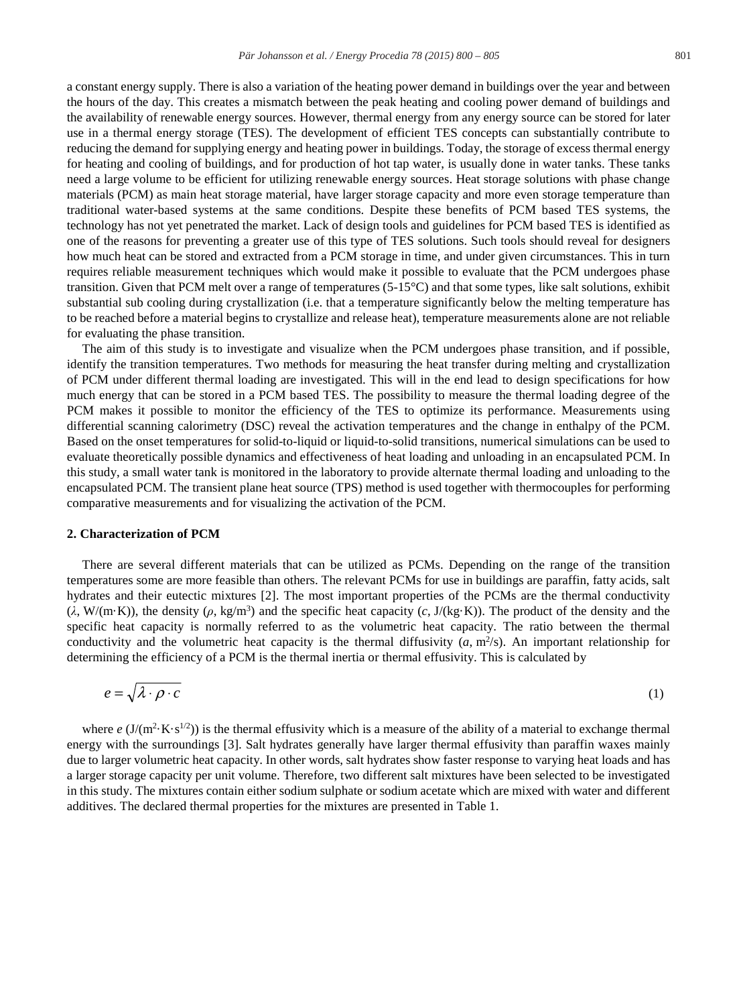a constant energy supply. There is also a variation of the heating power demand in buildings over the year and between the hours of the day. This creates a mismatch between the peak heating and cooling power demand of buildings and the availability of renewable energy sources. However, thermal energy from any energy source can be stored for later use in a thermal energy storage (TES). The development of efficient TES concepts can substantially contribute to reducing the demand for supplying energy and heating power in buildings. Today, the storage of excess thermal energy for heating and cooling of buildings, and for production of hot tap water, is usually done in water tanks. These tanks need a large volume to be efficient for utilizing renewable energy sources. Heat storage solutions with phase change materials (PCM) as main heat storage material, have larger storage capacity and more even storage temperature than traditional water-based systems at the same conditions. Despite these benefits of PCM based TES systems, the technology has not yet penetrated the market. Lack of design tools and guidelines for PCM based TES is identified as one of the reasons for preventing a greater use of this type of TES solutions. Such tools should reveal for designers how much heat can be stored and extracted from a PCM storage in time, and under given circumstances. This in turn requires reliable measurement techniques which would make it possible to evaluate that the PCM undergoes phase transition. Given that PCM melt over a range of temperatures (5-15°C) and that some types, like salt solutions, exhibit substantial sub cooling during crystallization (i.e. that a temperature significantly below the melting temperature has to be reached before a material begins to crystallize and release heat), temperature measurements alone are not reliable for evaluating the phase transition.

The aim of this study is to investigate and visualize when the PCM undergoes phase transition, and if possible, identify the transition temperatures. Two methods for measuring the heat transfer during melting and crystallization of PCM under different thermal loading are investigated. This will in the end lead to design specifications for how much energy that can be stored in a PCM based TES. The possibility to measure the thermal loading degree of the PCM makes it possible to monitor the efficiency of the TES to optimize its performance. Measurements using differential scanning calorimetry (DSC) reveal the activation temperatures and the change in enthalpy of the PCM. Based on the onset temperatures for solid-to-liquid or liquid-to-solid transitions, numerical simulations can be used to evaluate theoretically possible dynamics and effectiveness of heat loading and unloading in an encapsulated PCM. In this study, a small water tank is monitored in the laboratory to provide alternate thermal loading and unloading to the encapsulated PCM. The transient plane heat source (TPS) method is used together with thermocouples for performing comparative measurements and for visualizing the activation of the PCM.

### **2. Characterization of PCM**

There are several different materials that can be utilized as PCMs. Depending on the range of the transition temperatures some are more feasible than others. The relevant PCMs for use in buildings are paraffin, fatty acids, salt hydrates and their eutectic mixtures [2]. The most important properties of the PCMs are the thermal conductivity  $(\lambda, W/(m \cdot K))$ , the density  $(\rho, kg/m^3)$  and the specific heat capacity  $(c, J/(kg \cdot K))$ . The product of the density and the specific heat capacity is normally referred to as the volumetric heat capacity. The ratio between the thermal conductivity and the volumetric heat capacity is the thermal diffusivity  $(a, m^2/s)$ . An important relationship for determining the efficiency of a PCM is the thermal inertia or thermal effusivity. This is calculated by

$$
e = \sqrt{\lambda \cdot \rho \cdot c} \tag{1}
$$

where  $e$  ( $J/(m^2 \cdot K \cdot s^{1/2})$ ) is the thermal effusivity which is a measure of the ability of a material to exchange thermal energy with the surroundings [3]. Salt hydrates generally have larger thermal effusivity than paraffin waxes mainly due to larger volumetric heat capacity. In other words, salt hydrates show faster response to varying heat loads and has a larger storage capacity per unit volume. Therefore, two different salt mixtures have been selected to be investigated in this study. The mixtures contain either sodium sulphate or sodium acetate which are mixed with water and different additives. The declared thermal properties for the mixtures are presented in Table 1.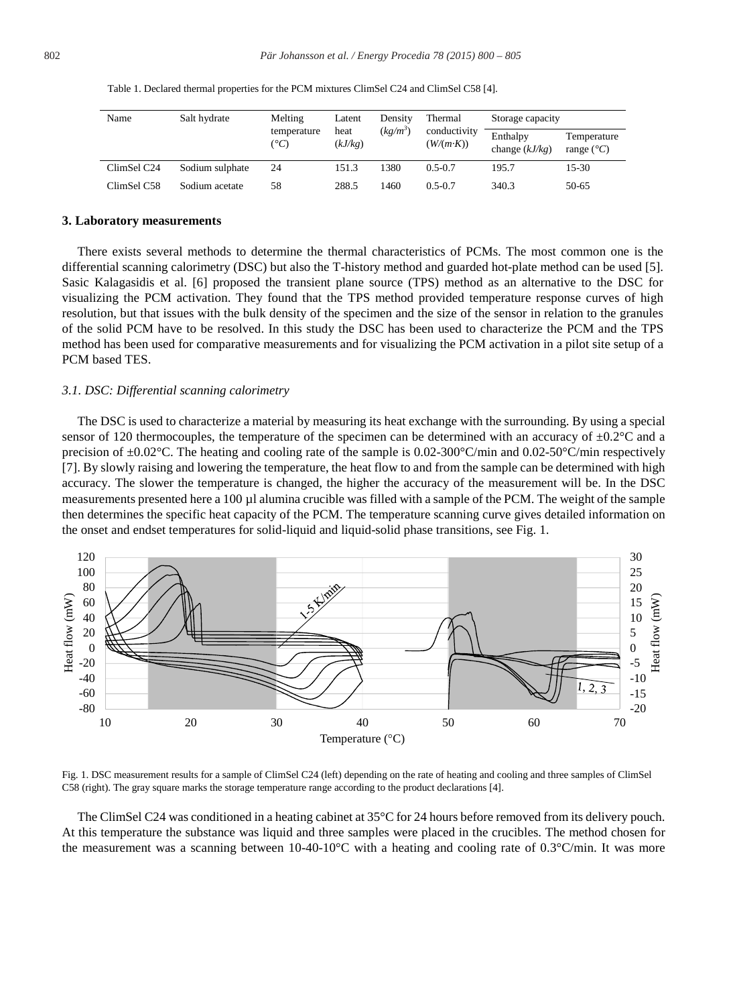| Name        | Salt hydrate    | Melting                    | Latent          | Density    | Thermal<br>conductivity<br>$(W/(m \cdot K))$ | Storage capacity             |                                    |
|-------------|-----------------|----------------------------|-----------------|------------|----------------------------------------------|------------------------------|------------------------------------|
|             |                 | temperature<br>$^{\circ}C$ | heat<br>(kJ/kg) | $(kg/m^3)$ |                                              | Enthalpy<br>change $(kJ/kg)$ | Temperature<br>range $(^{\circ}C)$ |
| ClimSel C24 | Sodium sulphate | 24                         | 151.3           | 1380       | $0.5 - 0.7$                                  | 195.7                        | 15-30                              |
| ClimSel C58 | Sodium acetate  | 58                         | 288.5           | 1460       | $0.5 - 0.7$                                  | 340.3                        | 50-65                              |

Table 1. Declared thermal properties for the PCM mixtures ClimSel C24 and ClimSel C58 [4].

#### **3. Laboratory measurements**

There exists several methods to determine the thermal characteristics of PCMs. The most common one is the differential scanning calorimetry (DSC) but also the T-history method and guarded hot-plate method can be used [5]. Sasic Kalagasidis et al. [6] proposed the transient plane source (TPS) method as an alternative to the DSC for visualizing the PCM activation. They found that the TPS method provided temperature response curves of high resolution, but that issues with the bulk density of the specimen and the size of the sensor in relation to the granules of the solid PCM have to be resolved. In this study the DSC has been used to characterize the PCM and the TPS method has been used for comparative measurements and for visualizing the PCM activation in a pilot site setup of a PCM based TES.

# *3.1. DSC: Differential scanning calorimetry*

The DSC is used to characterize a material by measuring its heat exchange with the surrounding. By using a special sensor of 120 thermocouples, the temperature of the specimen can be determined with an accuracy of  $\pm 0.2$ °C and a precision of  $\pm 0.02^{\circ}$ C. The heating and cooling rate of the sample is 0.02-300°C/min and 0.02-50°C/min respectively [7]. By slowly raising and lowering the temperature, the heat flow to and from the sample can be determined with high accuracy. The slower the temperature is changed, the higher the accuracy of the measurement will be. In the DSC measurements presented here a 100 µl alumina crucible was filled with a sample of the PCM. The weight of the sample then determines the specific heat capacity of the PCM. The temperature scanning curve gives detailed information on the onset and endset temperatures for solid-liquid and liquid-solid phase transitions, see Fig. 1.



Fig. 1. DSC measurement results for a sample of ClimSel C24 (left) depending on the rate of heating and cooling and three samples of ClimSel C58 (right). The gray square marks the storage temperature range according to the product declarations [4].

The ClimSel C24 was conditioned in a heating cabinet at 35°C for 24 hours before removed from its delivery pouch. At this temperature the substance was liquid and three samples were placed in the crucibles. The method chosen for the measurement was a scanning between 10-40-10 $^{\circ}$ C with a heating and cooling rate of 0.3 $^{\circ}$ C/min. It was more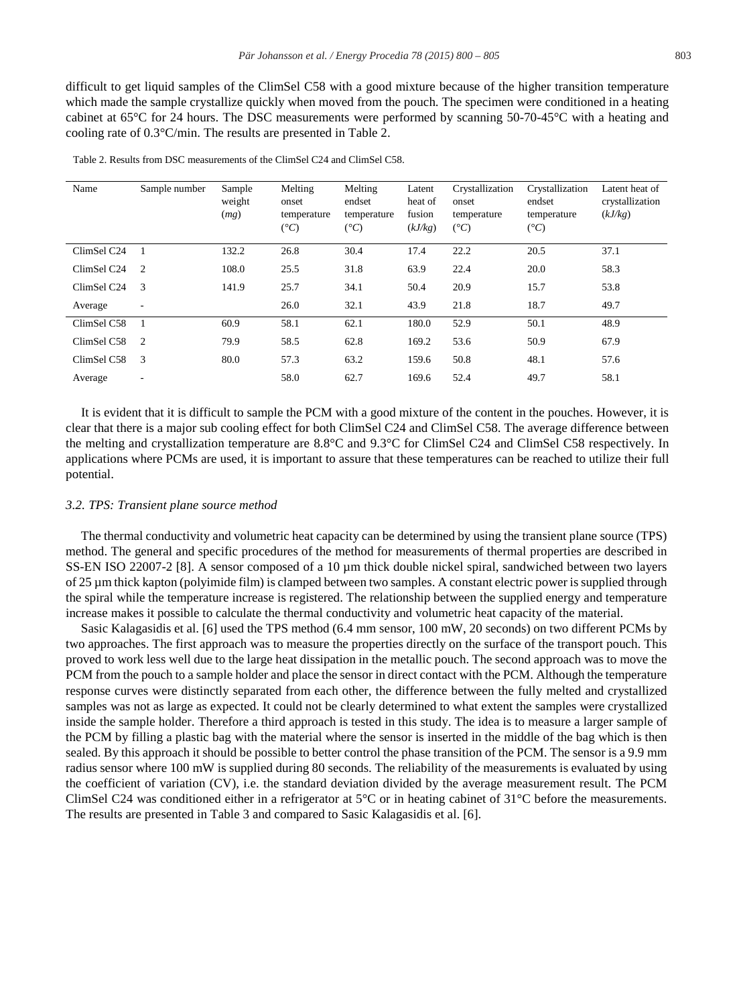difficult to get liquid samples of the ClimSel C58 with a good mixture because of the higher transition temperature which made the sample crystallize quickly when moved from the pouch. The specimen were conditioned in a heating cabinet at 65°C for 24 hours. The DSC measurements were performed by scanning 50-70-45°C with a heating and cooling rate of 0.3°C/min. The results are presented in Table 2.

| Name        | Sample number            | Sample<br>weight<br>(mg) | Melting<br>onset<br>temperature<br>$(^\circ C)$ | Melting<br>endset<br>temperature<br>$(^\circ C)$ | Latent<br>heat of<br>fusion<br>(kJ/kg) | Crystallization<br>onset<br>temperature<br>$(^{\circ}C)$ | Crystallization<br>endset<br>temperature<br>$(^{\circ}C)$ | Latent heat of<br>crystallization<br>(kJ/kg) |
|-------------|--------------------------|--------------------------|-------------------------------------------------|--------------------------------------------------|----------------------------------------|----------------------------------------------------------|-----------------------------------------------------------|----------------------------------------------|
| ClimSel C24 |                          | 132.2                    | 26.8                                            | 30.4                                             | 17.4                                   | 22.2                                                     | 20.5                                                      | 37.1                                         |
| ClimSel C24 | $\overline{2}$           | 108.0                    | 25.5                                            | 31.8                                             | 63.9                                   | 22.4                                                     | 20.0                                                      | 58.3                                         |
| ClimSel C24 | 3                        | 141.9                    | 25.7                                            | 34.1                                             | 50.4                                   | 20.9                                                     | 15.7                                                      | 53.8                                         |
| Average     | $\overline{\phantom{a}}$ |                          | 26.0                                            | 32.1                                             | 43.9                                   | 21.8                                                     | 18.7                                                      | 49.7                                         |
| ClimSel C58 |                          | 60.9                     | 58.1                                            | 62.1                                             | 180.0                                  | 52.9                                                     | 50.1                                                      | 48.9                                         |
| ClimSel C58 | $\overline{2}$           | 79.9                     | 58.5                                            | 62.8                                             | 169.2                                  | 53.6                                                     | 50.9                                                      | 67.9                                         |
| ClimSel C58 | 3                        | 80.0                     | 57.3                                            | 63.2                                             | 159.6                                  | 50.8                                                     | 48.1                                                      | 57.6                                         |
| Average     | $\overline{\phantom{a}}$ |                          | 58.0                                            | 62.7                                             | 169.6                                  | 52.4                                                     | 49.7                                                      | 58.1                                         |

Table 2. Results from DSC measurements of the ClimSel C24 and ClimSel C58.

It is evident that it is difficult to sample the PCM with a good mixture of the content in the pouches. However, it is clear that there is a major sub cooling effect for both ClimSel C24 and ClimSel C58. The average difference between the melting and crystallization temperature are 8.8°C and 9.3°C for ClimSel C24 and ClimSel C58 respectively. In applications where PCMs are used, it is important to assure that these temperatures can be reached to utilize their full potential.

# *3.2. TPS: Transient plane source method*

The thermal conductivity and volumetric heat capacity can be determined by using the transient plane source (TPS) method. The general and specific procedures of the method for measurements of thermal properties are described in SS-EN ISO 22007-2 [8]. A sensor composed of a 10 µm thick double nickel spiral, sandwiched between two layers of 25 µm thick kapton (polyimide film) is clamped between two samples. A constant electric power is supplied through the spiral while the temperature increase is registered. The relationship between the supplied energy and temperature increase makes it possible to calculate the thermal conductivity and volumetric heat capacity of the material.

Sasic Kalagasidis et al. [6] used the TPS method (6.4 mm sensor, 100 mW, 20 seconds) on two different PCMs by two approaches. The first approach was to measure the properties directly on the surface of the transport pouch. This proved to work less well due to the large heat dissipation in the metallic pouch. The second approach was to move the PCM from the pouch to a sample holder and place the sensor in direct contact with the PCM. Although the temperature response curves were distinctly separated from each other, the difference between the fully melted and crystallized samples was not as large as expected. It could not be clearly determined to what extent the samples were crystallized inside the sample holder. Therefore a third approach is tested in this study. The idea is to measure a larger sample of the PCM by filling a plastic bag with the material where the sensor is inserted in the middle of the bag which is then sealed. By this approach it should be possible to better control the phase transition of the PCM. The sensor is a 9.9 mm radius sensor where 100 mW is supplied during 80 seconds. The reliability of the measurements is evaluated by using the coefficient of variation (CV), i.e. the standard deviation divided by the average measurement result. The PCM ClimSel C24 was conditioned either in a refrigerator at 5°C or in heating cabinet of 31°C before the measurements. The results are presented in Table 3 and compared to Sasic Kalagasidis et al. [6].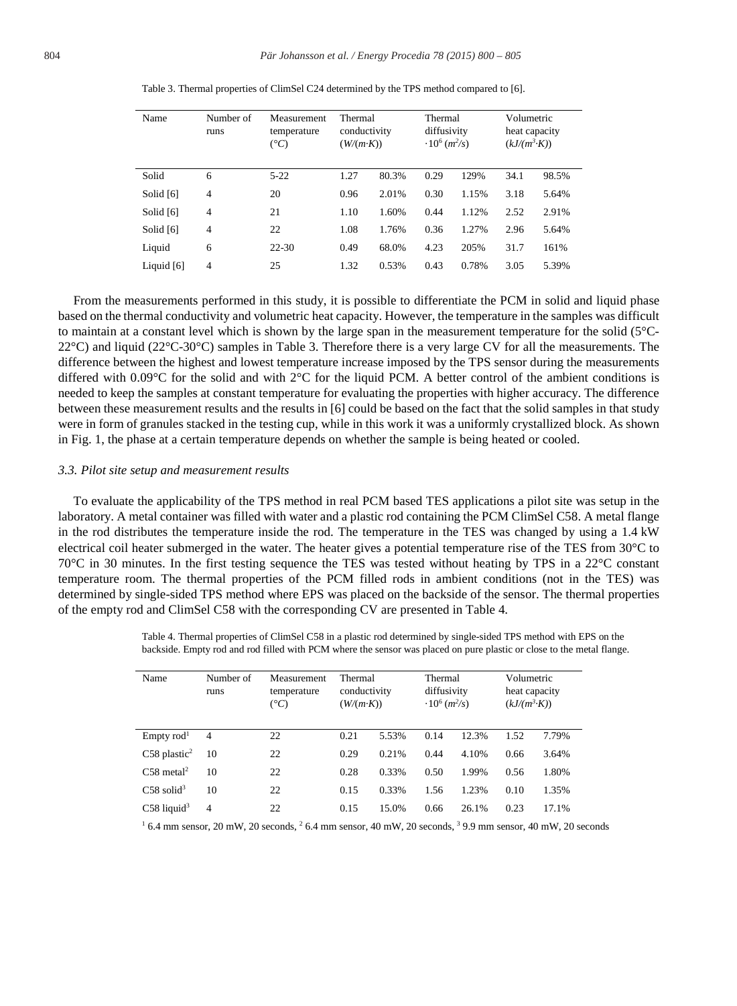| Name         | Number of<br>runs | Measurement<br>temperature<br>$(^{\circ}C)$ | Thermal<br>conductivity<br>$(W/(m \cdot K))$ |       | Thermal<br>diffusivity<br>$-10^6$ ( <i>m</i> <sup>2</sup> /s) |       | Volumetric<br>heat capacity<br>$(kJ/(m^3 \cdot K))$ |       |
|--------------|-------------------|---------------------------------------------|----------------------------------------------|-------|---------------------------------------------------------------|-------|-----------------------------------------------------|-------|
| Solid        | 6                 | $5 - 22$                                    | 1.27                                         | 80.3% | 0.29                                                          | 129%  | 34.1                                                | 98.5% |
| Solid [6]    | $\overline{4}$    | 20                                          | 0.96                                         | 2.01% | 0.30                                                          | 1.15% | 3.18                                                | 5.64% |
| Solid $[6]$  | $\overline{4}$    | 21                                          | 1.10                                         | 1.60% | 0.44                                                          | 1.12% | 2.52                                                | 2.91% |
| Solid [6]    | $\overline{4}$    | 22                                          | 1.08                                         | 1.76% | 0.36                                                          | 1.27% | 2.96                                                | 5.64% |
| Liquid       | 6                 | $22 - 30$                                   | 0.49                                         | 68.0% | 4.23                                                          | 205%  | 31.7                                                | 161%  |
| Liquid $[6]$ | 4                 | 25                                          | 1.32                                         | 0.53% | 0.43                                                          | 0.78% | 3.05                                                | 5.39% |

Table 3. Thermal properties of ClimSel C24 determined by the TPS method compared to [6].

From the measurements performed in this study, it is possible to differentiate the PCM in solid and liquid phase based on the thermal conductivity and volumetric heat capacity. However, the temperature in the samples was difficult to maintain at a constant level which is shown by the large span in the measurement temperature for the solid (5°C- $22^{\circ}$ C) and liquid ( $22^{\circ}$ C-30 $^{\circ}$ C) samples in Table 3. Therefore there is a very large CV for all the measurements. The difference between the highest and lowest temperature increase imposed by the TPS sensor during the measurements differed with 0.09°C for the solid and with 2°C for the liquid PCM. A better control of the ambient conditions is needed to keep the samples at constant temperature for evaluating the properties with higher accuracy. The difference between these measurement results and the results in [6] could be based on the fact that the solid samples in that study were in form of granules stacked in the testing cup, while in this work it was a uniformly crystallized block. As shown in Fig. 1, the phase at a certain temperature depends on whether the sample is being heated or cooled.

#### *3.3. Pilot site setup and measurement results*

To evaluate the applicability of the TPS method in real PCM based TES applications a pilot site was setup in the laboratory. A metal container was filled with water and a plastic rod containing the PCM ClimSel C58. A metal flange in the rod distributes the temperature inside the rod. The temperature in the TES was changed by using a 1.4 kW electrical coil heater submerged in the water. The heater gives a potential temperature rise of the TES from 30°C to 70°C in 30 minutes. In the first testing sequence the TES was tested without heating by TPS in a 22°C constant temperature room. The thermal properties of the PCM filled rods in ambient conditions (not in the TES) was determined by single-sided TPS method where EPS was placed on the backside of the sensor. The thermal properties of the empty rod and ClimSel C58 with the corresponding CV are presented in Table 4.

> Table 4. Thermal properties of ClimSel C58 in a plastic rod determined by single-sided TPS method with EPS on the backside. Empty rod and rod filled with PCM where the sensor was placed on pure plastic or close to the metal flange.

| Name                       | Number of<br>runs | Measurement<br>temperature<br>$(^\circ C)$ | Thermal<br>conductivity<br>$(W/(m\cdot K))$ |       | Thermal<br>diffusivity<br>$\cdot 10^6$ ( <i>m</i> <sup>2</sup> /s) |       | Volumetric<br>heat capacity<br>$(kJ/(m^3 \cdot K))$ |       |
|----------------------------|-------------------|--------------------------------------------|---------------------------------------------|-------|--------------------------------------------------------------------|-------|-----------------------------------------------------|-------|
| Empty rod <sup>1</sup>     | 4                 | 22                                         | 0.21                                        | 5.53% | 0.14                                                               | 12.3% | 1.52                                                | 7.79% |
| $C58$ plastic <sup>2</sup> | 10                | 22                                         | 0.29                                        | 0.21% | 0.44                                                               | 4.10% | 0.66                                                | 3.64% |
| $C58$ metal <sup>2</sup>   | 10                | 22                                         | 0.28                                        | 0.33% | 0.50                                                               | 1.99% | 0.56                                                | 1.80% |
| $C58$ solid <sup>3</sup>   | 10                | 22                                         | 0.15                                        | 0.33% | 1.56                                                               | 1.23% | 0.10                                                | 1.35% |
| $C58$ liquid <sup>3</sup>  | $\overline{4}$    | 22                                         | 0.15                                        | 15.0% | 0.66                                                               | 26.1% | 0.23                                                | 17.1% |

 $16.4$  mm sensor, 20 mW, 20 seconds,  $26.4$  mm sensor, 40 mW, 20 seconds,  $39.9$  mm sensor, 40 mW, 20 seconds